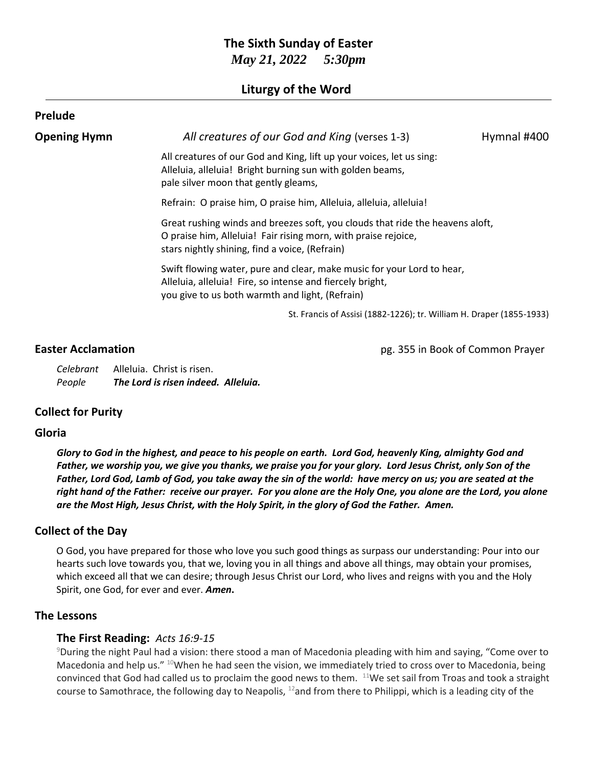# **The Sixth Sunday of Easter** *May 21, 2022 5:30pm*

## **Liturgy of the Word**

| Prelude             |                                                                                                                                                                                                   |             |
|---------------------|---------------------------------------------------------------------------------------------------------------------------------------------------------------------------------------------------|-------------|
| <b>Opening Hymn</b> | All creatures of our God and King (verses 1-3)                                                                                                                                                    | Hymnal #400 |
|                     | All creatures of our God and King, lift up your voices, let us sing:<br>Alleluia, alleluia! Bright burning sun with golden beams,<br>pale silver moon that gently gleams,                         |             |
|                     | Refrain: O praise him, O praise him, Alleluia, alleluia, alleluia!                                                                                                                                |             |
|                     | Great rushing winds and breezes soft, you clouds that ride the heavens aloft,<br>O praise him, Alleluia! Fair rising morn, with praise rejoice,<br>stars nightly shining, find a voice, (Refrain) |             |
|                     | Swift flowing water, pure and clear, make music for your Lord to hear,<br>Alleluia, alleluia! Fire, so intense and fiercely bright,<br>you give to us both warmth and light, (Refrain)            |             |
|                     | St. Francis of Assisi (1882-1226); tr. William H. Draper (1855-1933)                                                                                                                              |             |

**Easter Acclamation Easter Acclamation pg. 355 in Book of Common Prayer** 

*Celebrant* Alleluia. Christ is risen. *People The Lord is risen indeed. Alleluia.*

## **Collect for Purity**

## **Gloria**

*Glory to God in the highest, and peace to his people on earth. Lord God, heavenly King, almighty God and Father, we worship you, we give you thanks, we praise you for your glory. Lord Jesus Christ, only Son of the Father, Lord God, Lamb of God, you take away the sin of the world: have mercy on us; you are seated at the right hand of the Father: receive our prayer. For you alone are the Holy One, you alone are the Lord, you alone are the Most High, Jesus Christ, with the Holy Spirit, in the glory of God the Father. Amen.*

## **Collect of the Day**

O God, you have prepared for those who love you such good things as surpass our understanding: Pour into our hearts such love towards you, that we, loving you in all things and above all things, may obtain your promises, which exceed all that we can desire; through Jesus Christ our Lord, who lives and reigns with you and the Holy Spirit, one God, for ever and ever. *Amen***.**

## **The Lessons**

## **The First Reading:** *Acts 16:9-15*

<sup>9</sup>During the night Paul had a vision: there stood a man of Macedonia pleading with him and saying, "Come over to Macedonia and help us." <sup>10</sup>When he had seen the vision, we immediately tried to cross over to Macedonia, being convinced that God had called us to proclaim the good news to them.  $11$ We set sail from Troas and took a straight course to Samothrace, the following day to Neapolis, <sup>12</sup>and from there to Philippi, which is a leading city of the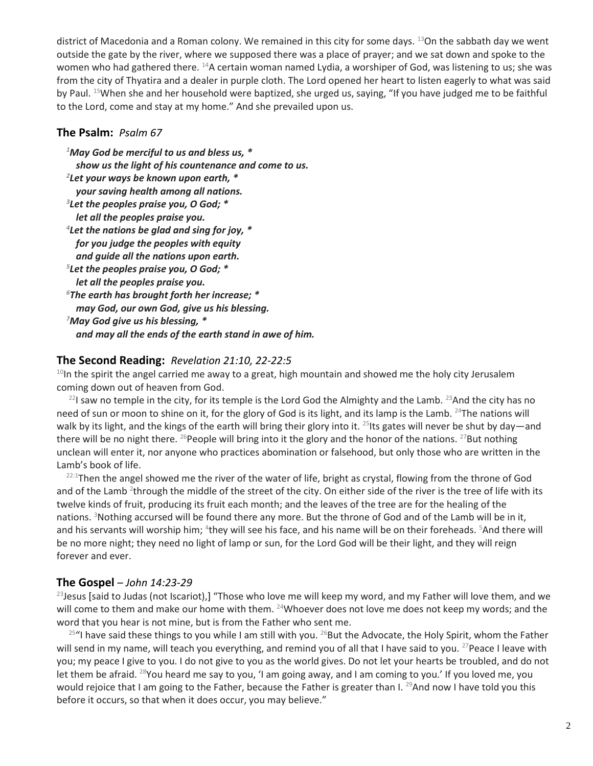district of Macedonia and a Roman colony. We remained in this city for some days. <sup>13</sup>On the sabbath day we went outside the gate by the river, where we supposed there was a place of prayer; and we sat down and spoke to the women who had gathered there. <sup>14</sup>A certain woman named Lydia, a worshiper of God, was listening to us; she was from the city of Thyatira and a dealer in purple cloth. The Lord opened her heart to listen eagerly to what was said by Paul. <sup>15</sup>When she and her household were baptized, she urged us, saying, "If you have judged me to be faithful to the Lord, come and stay at my home." And she prevailed upon us.

## **The Psalm:** *Psalm 67*

*<sup>1</sup>May God be merciful to us and bless us, \* show us the light of his countenance and come to us. 2 Let your ways be known upon earth, \* your saving health among all nations. 3 Let the peoples praise you, O God; \* let all the peoples praise you. 4 Let the nations be glad and sing for joy, \* for you judge the peoples with equity and guide all the nations upon earth. 5 Let the peoples praise you, O God; \* let all the peoples praise you. <sup>6</sup>The earth has brought forth her increase; \* may God, our own God, give us his blessing. <sup>7</sup>May God give us his blessing, \* and may all the ends of the earth stand in awe of him.*

## **The Second Reading:** *Revelation 21:10, 22-22:5*

 $10$ In the spirit the angel carried me away to a great, high mountain and showed me the holy city Jerusalem coming down out of heaven from God.

 $^{22}$ I saw no temple in the city, for its temple is the Lord God the Almighty and the Lamb.  $^{23}$ And the city has no need of sun or moon to shine on it, for the glory of God is its light, and its lamp is the Lamb. <sup>24</sup>The nations will walk by its light, and the kings of the earth will bring their glory into it. <sup>25</sup>Its gates will never be shut by day—and there will be no night there. <sup>26</sup>People will bring into it the glory and the honor of the nations. <sup>27</sup>But nothing unclean will enter it, nor anyone who practices abomination or falsehood, but only those who are written in the Lamb's book of life.

<sup>22:1</sup>Then the angel showed me the river of the water of life, bright as crystal, flowing from the throne of God and of the Lamb <sup>2</sup>through the middle of the street of the city. On either side of the river is the tree of life with its twelve kinds of fruit, producing its fruit each month; and the leaves of the tree are for the healing of the nations. <sup>3</sup>Nothing accursed will be found there any more. But the throne of God and of the Lamb will be in it, and his servants will worship him; <sup>4</sup>they will see his face, and his name will be on their foreheads. <sup>5</sup>And there will be no more night; they need no light of lamp or sun, for the Lord God will be their light, and they will reign forever and ever.

## **The Gospel** – *John 14:23-29*

<sup>23</sup> Jesus [said to Judas (not Iscariot),] "Those who love me will keep my word, and my Father will love them, and we will come to them and make our home with them. <sup>24</sup>Whoever does not love me does not keep my words; and the word that you hear is not mine, but is from the Father who sent me.

 $25$ "I have said these things to you while I am still with you.  $26$ But the Advocate, the Holy Spirit, whom the Father will send in my name, will teach you everything, and remind you of all that I have said to you. <sup>27</sup>Peace I leave with you; my peace I give to you. I do not give to you as the world gives. Do not let your hearts be troubled, and do not let them be afraid. <sup>28</sup>You heard me say to you, 'I am going away, and I am coming to you.' If you loved me, you would rejoice that I am going to the Father, because the Father is greater than I. <sup>29</sup>And now I have told you this before it occurs, so that when it does occur, you may believe."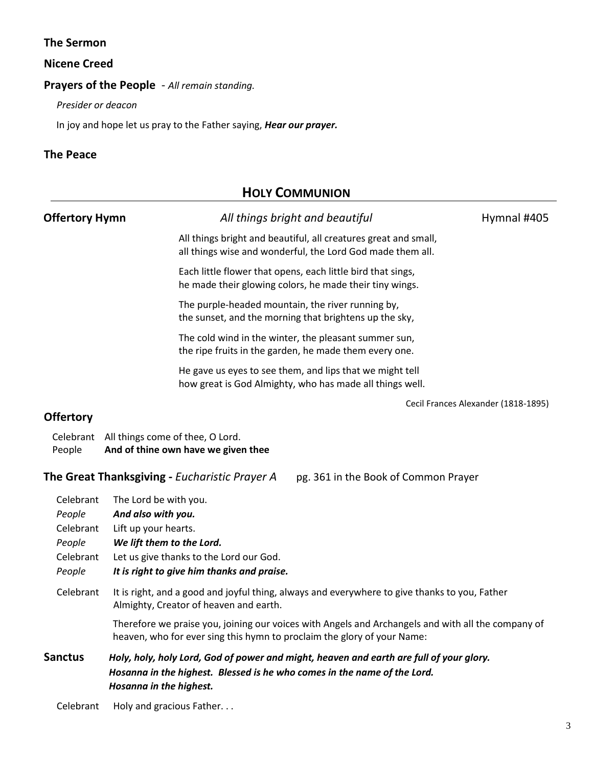## **The Sermon**

#### **Nicene Creed**

#### **Prayers of the People** - *All remain standing.*

*Presider or deacon*

In joy and hope let us pray to the Father saying, *Hear our prayer.*

## **The Peace**

## **HOLY COMMUNION**

| <b>Offertory Hymn</b>                                                                 | All things bright and beautiful                                                                                               | Hymnal #405                         |  |
|---------------------------------------------------------------------------------------|-------------------------------------------------------------------------------------------------------------------------------|-------------------------------------|--|
|                                                                                       | All things bright and beautiful, all creatures great and small,<br>all things wise and wonderful, the Lord God made them all. |                                     |  |
|                                                                                       | Each little flower that opens, each little bird that sings,<br>he made their glowing colors, he made their tiny wings.        |                                     |  |
|                                                                                       | The purple-headed mountain, the river running by,<br>the sunset, and the morning that brightens up the sky,                   |                                     |  |
|                                                                                       | The cold wind in the winter, the pleasant summer sun,<br>the ripe fruits in the garden, he made them every one.               |                                     |  |
|                                                                                       | He gave us eyes to see them, and lips that we might tell<br>how great is God Almighty, who has made all things well.          |                                     |  |
|                                                                                       |                                                                                                                               | Cecil Frances Alexander (1818-1895) |  |
| <b>Offertory</b>                                                                      |                                                                                                                               |                                     |  |
| People                                                                                | Celebrant All things come of thee, O Lord.<br>And of thine own have we given thee                                             |                                     |  |
| The Great Thanksgiving - Eucharistic Prayer A<br>pg. 361 in the Book of Common Prayer |                                                                                                                               |                                     |  |
| Celebrant                                                                             | The Lord be with you.                                                                                                         |                                     |  |
| People                                                                                | And also with you.                                                                                                            |                                     |  |
| Celebrant                                                                             | Lift up your hearts.                                                                                                          |                                     |  |
| People                                                                                | We lift them to the Lord.                                                                                                     |                                     |  |
| Celebrant                                                                             | Let us give thanks to the Lord our God.                                                                                       |                                     |  |
| People                                                                                | It is right to give him thanks and praise.                                                                                    |                                     |  |

## Celebrant It is right, and a good and joyful thing, always and everywhere to give thanks to you, Father Almighty, Creator of heaven and earth.

Therefore we praise you, joining our voices with Angels and Archangels and with all the company of heaven, who for ever sing this hymn to proclaim the glory of your Name:

## **Sanctus** *Holy, holy, holy Lord, God of power and might, heaven and earth are full of your glory. Hosanna in the highest. Blessed is he who comes in the name of the Lord. Hosanna in the highest.*

Celebrant Holy and gracious Father...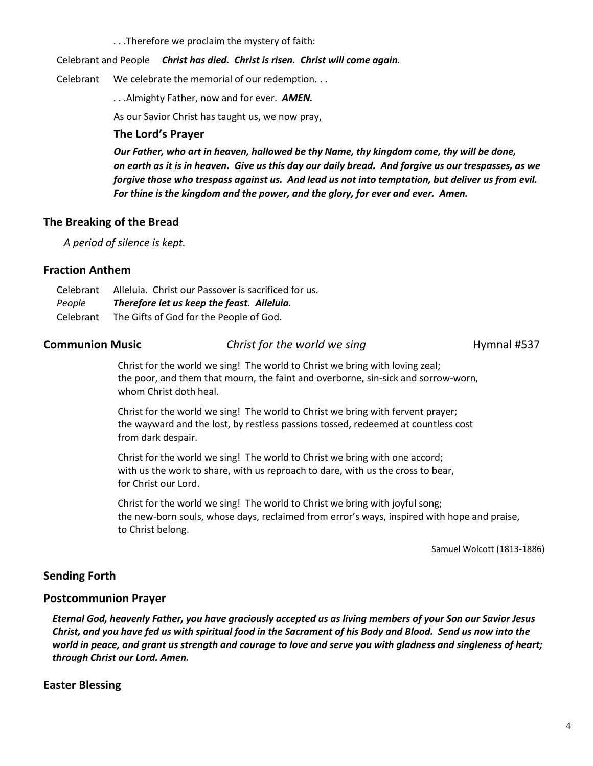. . .Therefore we proclaim the mystery of faith:

#### Celebrant and People *Christ has died. Christ is risen. Christ will come again.*

Celebrant We celebrate the memorial of our redemption. . .

. . .Almighty Father, now and for ever. *AMEN.*

As our Savior Christ has taught us, we now pray,

#### **The Lord's Prayer**

*Our Father, who art in heaven, hallowed be thy Name, thy kingdom come, thy will be done, on earth as it is in heaven. Give us this day our daily bread. And forgive us our trespasses, as we forgive those who trespass against us. And lead us not into temptation, but deliver us from evil. For thine is the kingdom and the power, and the glory, for ever and ever. Amen.*

## **The Breaking of the Bread**

*A period of silence is kept.*

#### **Fraction Anthem**

| Celebrant | Alleluia. Christ our Passover is sacrificed for us. |  |
|-----------|-----------------------------------------------------|--|
| People    | Therefore let us keep the feast. Alleluia.          |  |
| Celebrant | The Gifts of God for the People of God.             |  |

#### **Communion Music Christ for the world we sing Hymnal #537**

Christ for the world we sing! The world to Christ we bring with loving zeal; the poor, and them that mourn, the faint and overborne, sin-sick and sorrow-worn, whom Christ doth heal.

Christ for the world we sing! The world to Christ we bring with fervent prayer; the wayward and the lost, by restless passions tossed, redeemed at countless cost from dark despair.

Christ for the world we sing! The world to Christ we bring with one accord; with us the work to share, with us reproach to dare, with us the cross to bear, for Christ our Lord.

Christ for the world we sing! The world to Christ we bring with joyful song; the new-born souls, whose days, reclaimed from error's ways, inspired with hope and praise, to Christ belong.

Samuel Wolcott (1813-1886)

## **Sending Forth**

#### **Postcommunion Prayer**

*Eternal God, heavenly Father, you have graciously accepted us as living members of your Son our Savior Jesus Christ, and you have fed us with spiritual food in the Sacrament of his Body and Blood. Send us now into the world in peace, and grant us strength and courage to love and serve you with gladness and singleness of heart; through Christ our Lord. Amen.*

## **Easter Blessing**